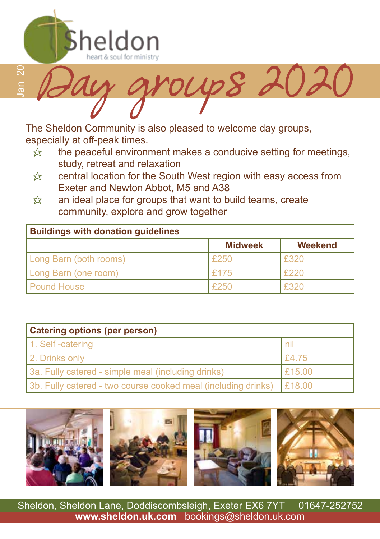

Jan 20 oups 202

The Sheldon Community is also pleased to welcome day groups, especially at off-peak times.

- $\hat{x}$  the peaceful environment makes a conducive setting for meetings, study, retreat and relaxation
- $\hat{\mathbb{X}}$  central location for the South West region with easy access from Exeter and Newton Abbot, M5 and A38
- $\hat{x}$  an ideal place for groups that want to build teams, create community, explore and grow together

| <b>Buildings with donation guidelines</b> |                |                |
|-------------------------------------------|----------------|----------------|
|                                           | <b>Midweek</b> | <b>Weekend</b> |
| Long Barn (both rooms)                    | £250           | F320           |
| Long Barn (one room)                      | F175           | l £220         |
| <b>Pound House</b>                        | £250           | £320           |

| <b>Catering options (per person)</b>                          |        |  |
|---------------------------------------------------------------|--------|--|
| 1. Self-catering                                              | l nil  |  |
| 2. Drinks only                                                | E4.75  |  |
| 3a. Fully catered - simple meal (including drinks)            | E15.00 |  |
| 3b. Fully catered - two course cooked meal (including drinks) | E18.00 |  |



Sheldon, Sheldon Lane, Doddiscombsleigh, Exeter EX6 7YT 01647-252752 **www.sheldon.uk.com** bookings@sheldon.uk.com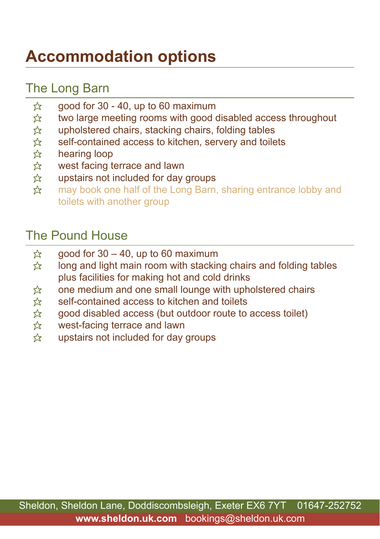## **Accommodation options**

#### The Long Barn

- $\approx$  good for 30 40, up to 60 maximum
- $\hat{\mathbb{X}}$  two large meeting rooms with good disabled access throughout  $\hat{\mathbb{X}}$  upholstered chairs, stacking chairs, folding tables
- $\hat{\mathbb{X}}$  upholstered chairs, stacking chairs, folding tables<br>  $\hat{\mathbb{X}}$  self-contained access to kitchen, servery and toile
- self-contained access to kitchen, servery and toilets
- $\hat{\mathcal{Z}}$  hearing loop<br>  $\hat{\mathcal{Z}}$  west facing to
- west facing terrace and lawn
- $\frac{1}{22}$  upstairs not included for day groups
- **☆** may book one half of the Long Barn, sharing entrance lobby and toilets with another group

#### The Pound House

- $\frac{1}{2}$  good for 30 40, up to 60 maximum<br>  $\frac{1}{2}$  long and light main room with stacking
- long and light main room with stacking chairs and folding tables plus facilities for making hot and cold drinks
- $\hat{x}$  one medium and one small lounge with upholstered chairs
- $\&$  self-contained access to kitchen and toilets
- $\hat{x}$  good disabled access (but outdoor route to access toilet)
- $\hat{x}$  west-facing terrace and lawn
- $\hat{x}$  upstairs not included for day groups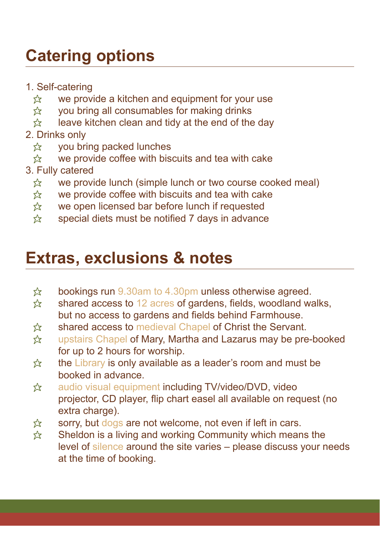## **Catering options**

- 1. Self-catering
	- $\hat{\mathbb{X}}$  we provide a kitchen and equipment for your use  $\hat{\mathbb{X}}$  vou bring all consumables for making drinks
	- you bring all consumables for making drinks
- $\hat{x}$  leave kitchen clean and tidy at the end of the day
- 2. Drinks only
	- $\hat{x}$  you bring packed lunches
	- $\hat{\mathbb{X}}$  we provide coffee with biscuits and tea with cake
- 3. Fully catered
	- $\hat{\chi}$  we provide lunch (simple lunch or two course cooked meal)<br> $\hat{\chi}$  we provide coffee with biscuits and tea with cake
	- we provide coffee with biscuits and tea with cake
	- $\hat{x}$  we open licensed bar before lunch if requested
	- $\hat{\mathcal{R}}$  special diets must be notified 7 days in advance

### **Extras, exclusions & notes**

- $\hat{\mathbf{x}}$  bookings run 9.30am to 4.30pm unless otherwise agreed.
- $\hat{x}$  shared access to 12 acres of gardens, fields, woodland walks, but no access to gardens and fields behind Farmhouse.
- $\hat{\mathbb{X}}$  shared access to medieval Chapel of Christ the Servant.
- ☆ upstairs Chapel of Mary, Martha and Lazarus may be pre-booked for up to 2 hours for worship.
- $\hat{\mathbf{x}}$  the Library is only available as a leader's room and must be booked in advance.
- **☆** audio visual equipment including TV/video/DVD, video projector, CD player, flip chart easel all available on request (no extra charge).
- $\hat{\mathbb{X}}$  sorry, but dogs are not welcome, not even if left in cars.
- $\hat{x}$  Sheldon is a living and working Community which means the level of silence around the site varies – please discuss your needs at the time of booking.